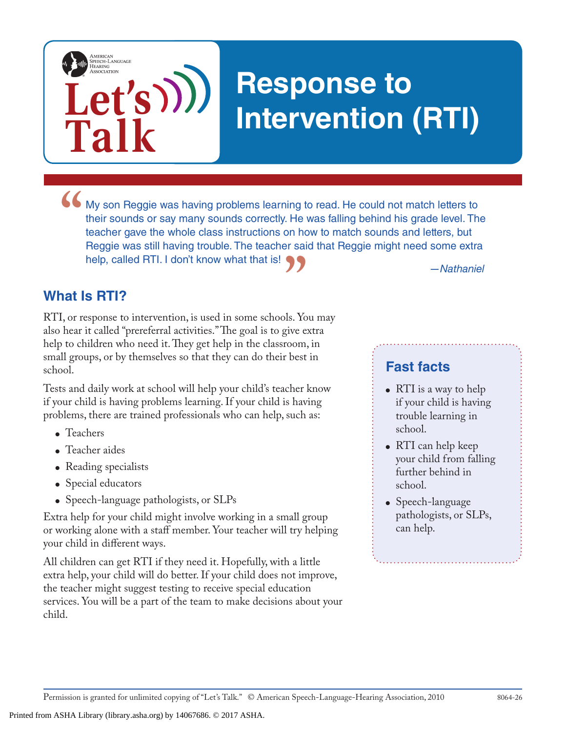# **Response to Intervention (RTI)**

• My son Reggie was having problems learning to read. He could not match letters to their sounds or say many sounds correctly. He was falling behind his grade level. The teacher gave the whole class instructions on how to their sounds or say many sounds correctly. He was falling behind his grade level. The teacher gave the whole class instructions on how to match sounds and letters, but Reggie was still having trouble. The teacher said that Reggie might need some extra help, called RTI. I don't know what that is!

## **What Is RTI?**

**"** *—Nathaniel* RTI, or response to intervention, is used in some schools. You may also hear it called "prereferral activities." The goal is to give extra help to children who need it. They get help in the classroom, in small groups, or by themselves so that they can do their best in school.

Tests and daily work at school will help your child's teacher know if your child is having problems learning. If your child is having problems, there are trained professionals who can help, such as:

- Teachers
- Teacher aides
- Reading specialists
- Special educators
- Speech-language pathologists, or SLPs

**Let's**

**Talk**

AMERICAN<br>SPEECH-LANGUAGE-<br>HEARING<br>ASSOCIATION

Extra help for your child might involve working in a small group or working alone with a staff member. Your teacher will try helping your child in different ways.

All children can get RTI if they need it. Hopefully, with a little extra help, your child will do better. If your child does not improve, the teacher might suggest testing to receive special education services. You will be a part of the team to make decisions about your child.

## **Fast facts**

- RTI is a way to help if your child is having trouble learning in school.
- RTI can help keep your child from falling further behind in school.
- Speech-language pathologists, or SLPs, can help.

Printed from ASHA Library (library.asha.org) by 14067686. © 2017 ASHA.